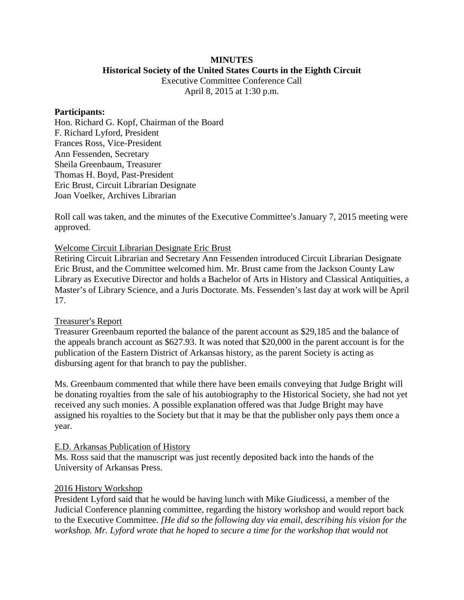# **MINUTES Historical Society of the United States Courts in the Eighth Circuit**

Executive Committee Conference Call April 8, 2015 at 1:30 p.m.

### **Participants:**

Hon. Richard G. Kopf, Chairman of the Board F. Richard Lyford, President Frances Ross, Vice-President Ann Fessenden, Secretary Sheila Greenbaum, Treasurer Thomas H. Boyd, Past-President Eric Brust, Circuit Librarian Designate Joan Voelker, Archives Librarian

Roll call was taken, and the minutes of the Executive Committee's January 7, 2015 meeting were approved.

## Welcome Circuit Librarian Designate Eric Brust

Retiring Circuit Librarian and Secretary Ann Fessenden introduced Circuit Librarian Designate Eric Brust, and the Committee welcomed him. Mr. Brust came from the Jackson County Law Library as Executive Director and holds a Bachelor of Arts in History and Classical Antiquities, a Master's of Library Science, and a Juris Doctorate. Ms. Fessenden's last day at work will be April 17.

## Treasurer's Report

Treasurer Greenbaum reported the balance of the parent account as \$29,185 and the balance of the appeals branch account as \$627.93. It was noted that \$20,000 in the parent account is for the publication of the Eastern District of Arkansas history, as the parent Society is acting as disbursing agent for that branch to pay the publisher.

Ms. Greenbaum commented that while there have been emails conveying that Judge Bright will be donating royalties from the sale of his autobiography to the Historical Society, she had not yet received any such monies. A possible explanation offered was that Judge Bright may have assigned his royalties to the Society but that it may be that the publisher only pays them once a year.

#### E.D. Arkansas Publication of History

Ms. Ross said that the manuscript was just recently deposited back into the hands of the University of Arkansas Press.

## 2016 History Workshop

President Lyford said that he would be having lunch with Mike Giudicessi, a member of the Judicial Conference planning committee, regarding the history workshop and would report back to the Executive Committee. *[He did so the following day via email, describing his vision for the workshop. Mr. Lyford wrote that he hoped to secure a time for the workshop that would not*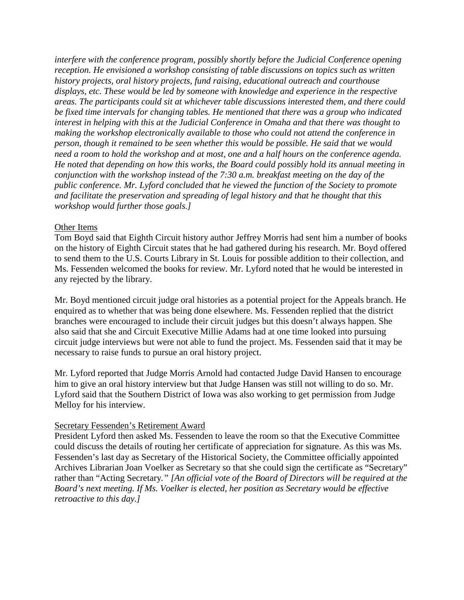*interfere with the conference program, possibly shortly before the Judicial Conference opening reception. He envisioned a workshop consisting of table discussions on topics such as written history projects, oral history projects, fund raising, educational outreach and courthouse displays, etc. These would be led by someone with knowledge and experience in the respective areas. The participants could sit at whichever table discussions interested them, and there could be fixed time intervals for changing tables. He mentioned that there was a group who indicated interest in helping with this at the Judicial Conference in Omaha and that there was thought to making the workshop electronically available to those who could not attend the conference in person, though it remained to be seen whether this would be possible. He said that we would need a room to hold the workshop and at most, one and a half hours on the conference agenda. He noted that depending on how this works, the Board could possibly hold its annual meeting in conjunction with the workshop instead of the 7:30 a.m. breakfast meeting on the day of the public conference. Mr. Lyford concluded that he viewed the function of the Society to promote and facilitate the preservation and spreading of legal history and that he thought that this workshop would further those goals.]*

# Other Items

Tom Boyd said that Eighth Circuit history author Jeffrey Morris had sent him a number of books on the history of Eighth Circuit states that he had gathered during his research. Mr. Boyd offered to send them to the U.S. Courts Library in St. Louis for possible addition to their collection, and Ms. Fessenden welcomed the books for review. Mr. Lyford noted that he would be interested in any rejected by the library.

Mr. Boyd mentioned circuit judge oral histories as a potential project for the Appeals branch. He enquired as to whether that was being done elsewhere. Ms. Fessenden replied that the district branches were encouraged to include their circuit judges but this doesn't always happen. She also said that she and Circuit Executive Millie Adams had at one time looked into pursuing circuit judge interviews but were not able to fund the project. Ms. Fessenden said that it may be necessary to raise funds to pursue an oral history project.

Mr. Lyford reported that Judge Morris Arnold had contacted Judge David Hansen to encourage him to give an oral history interview but that Judge Hansen was still not willing to do so. Mr. Lyford said that the Southern District of Iowa was also working to get permission from Judge Melloy for his interview.

## Secretary Fessenden's Retirement Award

President Lyford then asked Ms. Fessenden to leave the room so that the Executive Committee could discuss the details of routing her certificate of appreciation for signature. As this was Ms. Fessenden's last day as Secretary of the Historical Society, the Committee officially appointed Archives Librarian Joan Voelker as Secretary so that she could sign the certificate as "Secretary" rather than "Acting Secretary*." [An official vote of the Board of Directors will be required at the Board's next meeting. If Ms. Voelker is elected, her position as Secretary would be effective retroactive to this day.]*